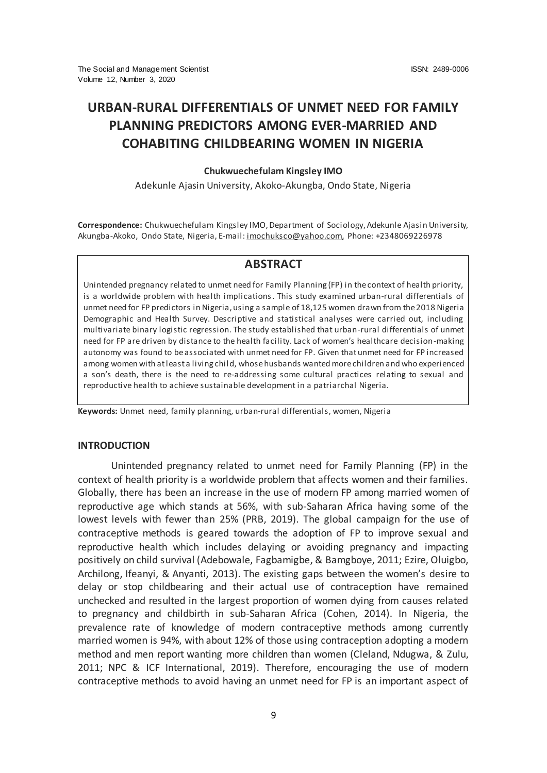# **URBAN-RURAL DIFFERENTIALS OF UNMET NEED FOR FAMILY PLANNING PREDICTORS AMONG EVER-MARRIED AND COHABITING CHILDBEARING WOMEN IN NIGERIA**

### **Chukwuechefulam Kingsley IMO**

Adekunle Ajasin University, Akoko-Akungba, Ondo State, Nigeria

**Correspondence:** Chukwuechefulam Kingsley IMO, Department of Sociology, Adekunle Ajasin University, Akungba-Akoko, Ondo State, Nigeria, E-mail[: imochuksco@yahoo.com,](mailto:imochuksco@yahoo.com)Phone: +2348069226978

# **ABSTRACT**

Unintended pregnancy related to unmet need for Family Planning (FP) in the context of health priority, is a worldwide problem with health implications. This study examined urban-rural differentials of unmet need for FP predictors in Nigeria, using a sample of 18,125 women drawn from the 2018 Nigeria Demographic and Health Survey. Descriptive and statistical analyses were carried out, including multivariate binary logistic regression. The study established that urban-rural differentials of unmet need for FP are driven by distance to the health facility. Lack of women's healthcare decision-making autonomy was found to be associated with unmet need for FP. Given that unmet need for FP increased among women with at least a living child, whose husbands wanted more children and who experienced a son's death, there is the need to re-addressing some cultural practices relating to sexual and reproductive health to achieve sustainable development in a patriarchal Nigeria.

**Keywords:** Unmet need, family planning, urban-rural differentials, women, Nigeria

### **INTRODUCTION**

Unintended pregnancy related to unmet need for Family Planning (FP) in the context of health priority is a worldwide problem that affects women and their families. Globally, there has been an increase in the use of modern FP among married women of reproductive age which stands at 56%, with sub-Saharan Africa having some of the lowest levels with fewer than 25% (PRB, 2019). The global campaign for the use of contraceptive methods is geared towards the adoption of FP to improve sexual and reproductive health which includes delaying or avoiding pregnancy and impacting positively on child survival (Adebowale, Fagbamigbe, & Bamgboye, 2011; Ezire, Oluigbo, Archilong, Ifeanyi, & Anyanti, 2013). The existing gaps between the women's desire to delay or stop childbearing and their actual use of contraception have remained unchecked and resulted in the largest proportion of women dying from causes related to pregnancy and childbirth in sub-Saharan Africa (Cohen, 2014). In Nigeria, the prevalence rate of knowledge of modern contraceptive methods among currently married women is 94%, with about 12% of those using contraception adopting a modern method and men report wanting more children than women (Cleland, Ndugwa, & Zulu, 2011; NPC & ICF International, 2019). Therefore, encouraging the use of modern contraceptive methods to avoid having an unmet need for FP is an important aspect of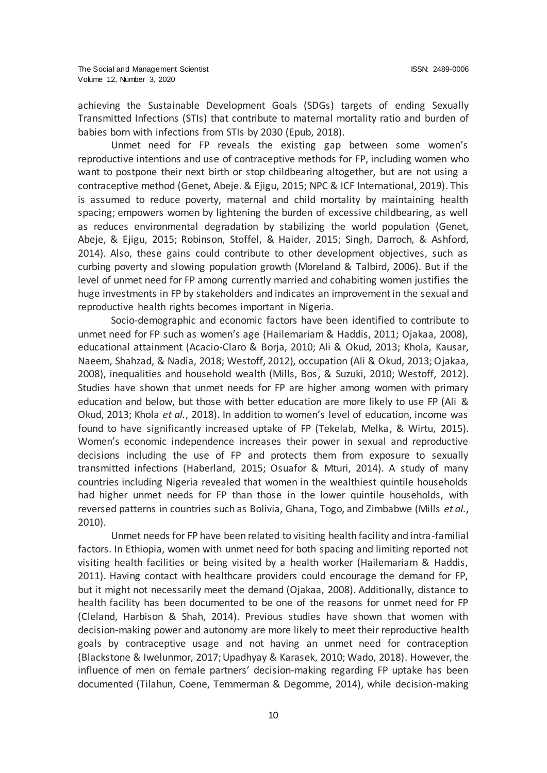achieving the Sustainable Development Goals (SDGs) targets of ending Sexually Transmitted Infections (STIs) that contribute to maternal mortality ratio and burden of babies born with infections from STIs by 2030 (Epub, 2018).

Unmet need for FP reveals the existing gap between some women's reproductive intentions and use of contraceptive methods for FP, including women who want to postpone their next birth or stop childbearing altogether, but are not using a contraceptive method (Genet, Abeje. & Ejigu, 2015; NPC & ICF International, 2019). This is assumed to reduce poverty, maternal and child mortality by maintaining health spacing; empowers women by lightening the burden of excessive childbearing, as well as reduces environmental degradation by stabilizing the world population (Genet, Abeje, & Ejigu, 2015; Robinson, Stoffel, & Haider, 2015; Singh, Darroch, & Ashford, 2014). Also, these gains could contribute to other development objectives, such as curbing poverty and slowing population growth (Moreland & Talbird, 2006). But if the level of unmet need for FP among currently married and cohabiting women justifies the huge investments in FP by stakeholders and indicates an improvement in the sexual and reproductive health rights becomes important in Nigeria.

Socio-demographic and economic factors have been identified to contribute to unmet need for FP such as women's age (Hailemariam & Haddis, 2011; Ojakaa, 2008), educational attainment (Acacio-Claro & Borja, 2010; Ali & Okud, 2013; Khola, Kausar, Naeem, Shahzad, & Nadia, 2018; Westoff, 2012), occupation (Ali & Okud, 2013; Ojakaa, 2008), inequalities and household wealth (Mills, Bos, & Suzuki, 2010; Westoff, 2012). Studies have shown that unmet needs for FP are higher among women with primary education and below, but those with better education are more likely to use FP (Ali & Okud, 2013; Khola *et al.*, 2018). In addition to women's level of education, income was found to have significantly increased uptake of FP (Tekelab, Melka, & Wirtu, 2015). Women's economic independence increases their power in sexual and reproductive decisions including the use of FP and protects them from exposure to sexually transmitted infections (Haberland, 2015; Osuafor & Mturi, 2014). A study of many countries including Nigeria revealed that women in the wealthiest quintile households had higher unmet needs for FP than those in the lower quintile households, with reversed patterns in countries such as Bolivia, Ghana, Togo, and Zimbabwe (Mills *et al.*, 2010).

Unmet needs for FP have been related to visiting health facility and intra-familial factors. In Ethiopia, women with unmet need for both spacing and limiting reported not visiting health facilities or being visited by a health worker (Hailemariam & Haddis, 2011). Having contact with healthcare providers could encourage the demand for FP, but it might not necessarily meet the demand (Ojakaa, 2008). Additionally, distance to health facility has been documented to be one of the reasons for unmet need for FP (Cleland, Harbison & Shah, 2014). Previous studies have shown that women with decision-making power and autonomy are more likely to meet their reproductive health goals by contraceptive usage and not having an unmet need for contraception (Blackstone & Iwelunmor, 2017; Upadhyay & Karasek, 2010; Wado, 2018). However, the influence of men on female partners' decision-making regarding FP uptake has been documented (Tilahun, Coene, Temmerman & Degomme, 2014), while decision-making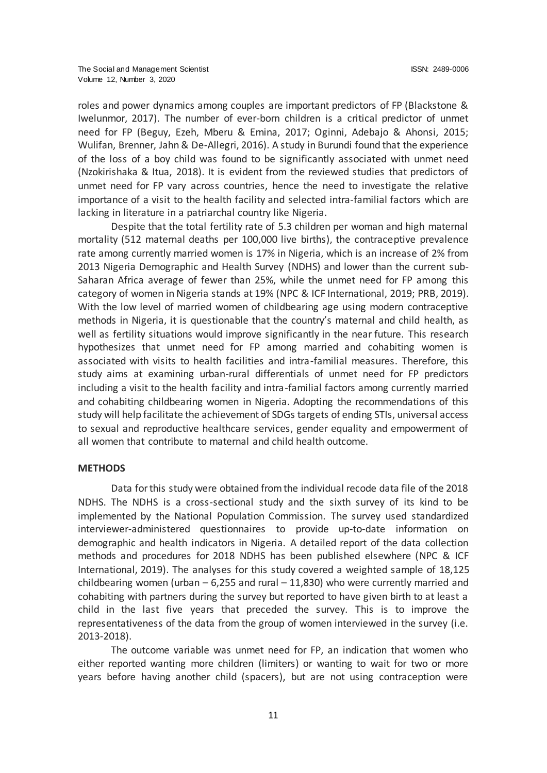roles and power dynamics among couples are important predictors of FP (Blackstone & Iwelunmor, 2017). The number of ever-born children is a critical predictor of unmet need for FP (Beguy, Ezeh, Mberu & Emina, 2017; Oginni, Adebajo & Ahonsi, 2015; Wulifan, Brenner, Jahn & De-Allegri, 2016). A study in Burundi found that the experience of the loss of a boy child was found to be significantly associated with unmet need (Nzokirishaka & Itua, 2018). It is evident from the reviewed studies that predictors of unmet need for FP vary across countries, hence the need to investigate the relative importance of a visit to the health facility and selected intra-familial factors which are lacking in literature in a patriarchal country like Nigeria.

Despite that the total fertility rate of 5.3 children per woman and high maternal mortality (512 maternal deaths per 100,000 live births), the contraceptive prevalence rate among currently married women is 17% in Nigeria, which is an increase of 2% from 2013 Nigeria Demographic and Health Survey (NDHS) and lower than the current sub-Saharan Africa average of fewer than 25%, while the unmet need for FP among this category of women in Nigeria stands at 19% (NPC & ICF International, 2019; PRB, 2019). With the low level of married women of childbearing age using modern contraceptive methods in Nigeria, it is questionable that the country's maternal and child health, as well as fertility situations would improve significantly in the near future. This research hypothesizes that unmet need for FP among married and cohabiting women is associated with visits to health facilities and intra-familial measures. Therefore, this study aims at examining urban-rural differentials of unmet need for FP predictors including a visit to the health facility and intra-familial factors among currently married and cohabiting childbearing women in Nigeria. Adopting the recommendations of this study will help facilitate the achievement of SDGs targets of ending STIs, universal access to sexual and reproductive healthcare services, gender equality and empowerment of all women that contribute to maternal and child health outcome.

### **METHODS**

Data for this study were obtained from the individual recode data file of the 2018 NDHS. The NDHS is a cross-sectional study and the sixth survey of its kind to be implemented by the National Population Commission. The survey used standardized interviewer-administered questionnaires to provide up-to-date information on demographic and health indicators in Nigeria. A detailed report of the data collection methods and procedures for 2018 NDHS has been published elsewhere (NPC & ICF International, 2019). The analyses for this study covered a weighted sample of 18,125 childbearing women (urban  $-6,255$  and rural  $-11,830$ ) who were currently married and cohabiting with partners during the survey but reported to have given birth to at least a child in the last five years that preceded the survey. This is to improve the representativeness of the data from the group of women interviewed in the survey (i.e. 2013-2018).

The outcome variable was unmet need for FP, an indication that women who either reported wanting more children (limiters) or wanting to wait for two or more years before having another child (spacers), but are not using contraception were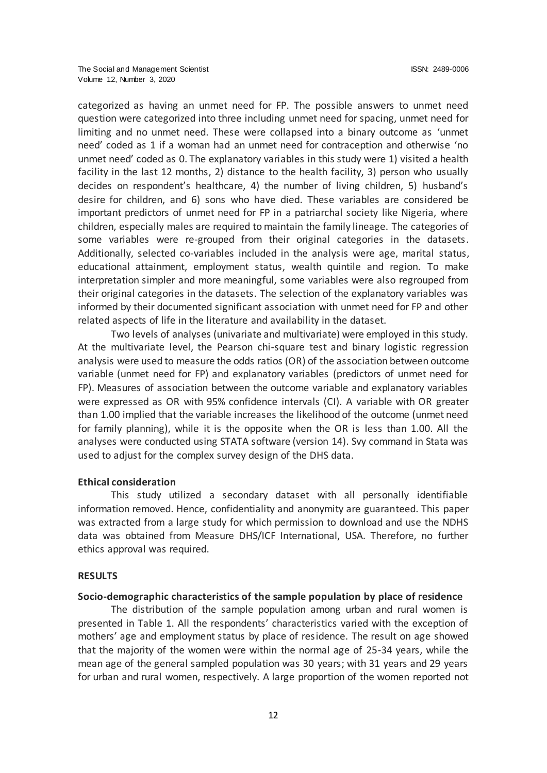categorized as having an unmet need for FP. The possible answers to unmet need question were categorized into three including unmet need for spacing, unmet need for limiting and no unmet need. These were collapsed into a binary outcome as 'unmet need' coded as 1 if a woman had an unmet need for contraception and otherwise 'no unmet need' coded as 0. The explanatory variables in this study were 1) visited a health facility in the last 12 months, 2) distance to the health facility, 3) person who usually decides on respondent's healthcare, 4) the number of living children, 5) husband's desire for children, and 6) sons who have died. These variables are considered be important predictors of unmet need for FP in a patriarchal society like Nigeria, where children, especially males are required to maintain the family lineage. The categories of some variables were re-grouped from their original categories in the datasets. Additionally, selected co-variables included in the analysis were age, marital status, educational attainment, employment status, wealth quintile and region. To make interpretation simpler and more meaningful, some variables were also regrouped from their original categories in the datasets. The selection of the explanatory variables was informed by their documented significant association with unmet need for FP and other related aspects of life in the literature and availability in the dataset.

Two levels of analyses (univariate and multivariate) were employed in this study. At the multivariate level, the Pearson chi-square test and binary logistic regression analysis were used to measure the odds ratios (OR) of the association between outcome variable (unmet need for FP) and explanatory variables (predictors of unmet need for FP). Measures of association between the outcome variable and explanatory variables were expressed as OR with 95% confidence intervals (CI). A variable with OR greater than 1.00 implied that the variable increases the likelihood of the outcome (unmet need for family planning), while it is the opposite when the OR is less than 1.00. All the analyses were conducted using STATA software (version 14). Svy command in Stata was used to adjust for the complex survey design of the DHS data.

# **Ethical consideration**

This study utilized a secondary dataset with all personally identifiable information removed. Hence, confidentiality and anonymity are guaranteed. This paper was extracted from a large study for which permission to download and use the NDHS data was obtained from Measure DHS/ICF International, USA. Therefore, no further ethics approval was required.

### **RESULTS**

### **Socio-demographic characteristics of the sample population by place of residence**

The distribution of the sample population among urban and rural women is presented in Table 1. All the respondents' characteristics varied with the exception of mothers' age and employment status by place of residence. The result on age showed that the majority of the women were within the normal age of 25-34 years, while the mean age of the general sampled population was 30 years; with 31 years and 29 years for urban and rural women, respectively. A large proportion of the women reported not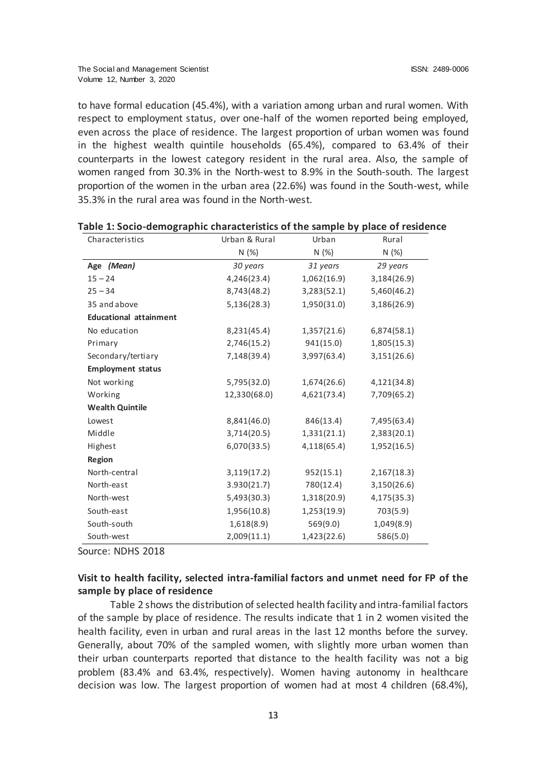to have formal education (45.4%), with a variation among urban and rural women. With respect to employment status, over one-half of the women reported being employed, even across the place of residence. The largest proportion of urban women was found in the highest wealth quintile households (65.4%), compared to 63.4% of their counterparts in the lowest category resident in the rural area. Also, the sample of women ranged from 30.3% in the North-west to 8.9% in the South-south. The largest proportion of the women in the urban area (22.6%) was found in the South-west, while 35.3% in the rural area was found in the North-west.

| Characteristics               | Urban & Rural | Urban       | Rural       |
|-------------------------------|---------------|-------------|-------------|
|                               | N(%)          | N(%)        | N(%)        |
| Age (Mean)                    | 30 years      | 31 years    | 29 years    |
| $15 - 24$                     | 4,246(23.4)   | 1,062(16.9) | 3,184(26.9) |
| $25 - 34$                     | 8,743(48.2)   | 3,283(52.1) | 5,460(46.2) |
| 35 and above                  | 5,136(28.3)   | 1,950(31.0) | 3,186(26.9) |
| <b>Educational attainment</b> |               |             |             |
| No education                  | 8,231(45.4)   | 1,357(21.6) | 6,874(58.1) |
| Primary                       | 2,746(15.2)   | 941(15.0)   | 1,805(15.3) |
| Secondary/tertiary            | 7,148(39.4)   | 3,997(63.4) | 3,151(26.6) |
| <b>Employment status</b>      |               |             |             |
| Not working                   | 5,795(32.0)   | 1,674(26.6) | 4,121(34.8) |
| Working                       | 12,330(68.0)  | 4,621(73.4) | 7,709(65.2) |
| <b>Wealth Quintile</b>        |               |             |             |
| Lowest                        | 8,841(46.0)   | 846(13.4)   | 7,495(63.4) |
| Middle                        | 3,714(20.5)   | 1,331(21.1) | 2,383(20.1) |
| Highest                       | 6,070(33.5)   | 4,118(65.4) | 1,952(16.5) |
| Region                        |               |             |             |
| North-central                 | 3,119(17.2)   | 952(15.1)   | 2,167(18.3) |
| North-east                    | 3.930(21.7)   | 780(12.4)   | 3,150(26.6) |
| North-west                    | 5,493(30.3)   | 1,318(20.9) | 4,175(35.3) |
| South-east                    | 1,956(10.8)   | 1,253(19.9) | 703(5.9)    |
| South-south                   | 1,618(8.9)    | 569(9.0)    | 1,049(8.9)  |
| South-west                    | 2,009(11.1)   | 1,423(22.6) | 586(5.0)    |

| Table 1: Socio-demographic characteristics of the sample by place of residence |  |  |  |
|--------------------------------------------------------------------------------|--|--|--|
|--------------------------------------------------------------------------------|--|--|--|

Source: NDHS 2018

# **Visit to health facility, selected intra-familial factors and unmet need for FP of the sample by place of residence**

Table 2 shows the distribution of selected health facility and intra-familial factors of the sample by place of residence. The results indicate that 1 in 2 women visited the health facility, even in urban and rural areas in the last 12 months before the survey. Generally, about 70% of the sampled women, with slightly more urban women than their urban counterparts reported that distance to the health facility was not a big problem (83.4% and 63.4%, respectively). Women having autonomy in healthcare decision was low. The largest proportion of women had at most 4 children (68.4%),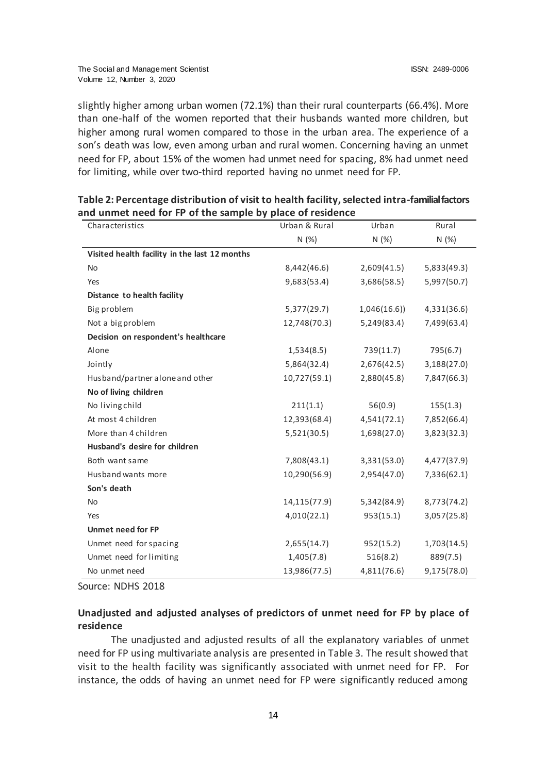slightly higher among urban women (72.1%) than their rural counterparts (66.4%). More than one-half of the women reported that their husbands wanted more children, but higher among rural women compared to those in the urban area. The experience of a son's death was low, even among urban and rural women. Concerning having an unmet need for FP, about 15% of the women had unmet need for spacing, 8% had unmet need for limiting, while over two-third reported having no unmet need for FP.

| Characteristics                               | Urban & Rural | Urban       | Rural       |
|-----------------------------------------------|---------------|-------------|-------------|
|                                               | N(%)          | N(%)        | N(%)        |
| Visited health facility in the last 12 months |               |             |             |
| <b>No</b>                                     | 8,442(46.6)   | 2,609(41.5) | 5,833(49.3) |
| Yes                                           | 9,683(53.4)   | 3,686(58.5) | 5,997(50.7) |
| Distance to health facility                   |               |             |             |
| Big problem                                   | 5,377(29.7)   | 1,046(16.6) | 4,331(36.6) |
| Not a big problem                             | 12,748(70.3)  | 5,249(83.4) | 7,499(63.4) |
| Decision on respondent's healthcare           |               |             |             |
| Alone                                         | 1,534(8.5)    | 739(11.7)   | 795(6.7)    |
| Jointly                                       | 5,864(32.4)   | 2,676(42.5) | 3,188(27.0) |
| Husband/partner alone and other               | 10,727(59.1)  | 2,880(45.8) | 7,847(66.3) |
| No of living children                         |               |             |             |
| No living child                               | 211(1.1)      | 56(0.9)     | 155(1.3)    |
| At most 4 children                            | 12,393(68.4)  | 4,541(72.1) | 7,852(66.4) |
| More than 4 children                          | 5,521(30.5)   | 1,698(27.0) | 3,823(32.3) |
| Husband's desire for children                 |               |             |             |
| Both want same                                | 7,808(43.1)   | 3,331(53.0) | 4,477(37.9) |
| Husband wants more                            | 10,290(56.9)  | 2,954(47.0) | 7,336(62.1) |
| Son's death                                   |               |             |             |
| <b>No</b>                                     | 14,115(77.9)  | 5,342(84.9) | 8,773(74.2) |
| Yes                                           | 4,010(22.1)   | 953(15.1)   | 3,057(25.8) |
| <b>Unmet need for FP</b>                      |               |             |             |
| Unmet need for spacing                        | 2,655(14.7)   | 952(15.2)   | 1,703(14.5) |
| Unmet need for limiting                       | 1,405(7.8)    | 516(8.2)    | 889(7.5)    |
| No unmet need                                 | 13,986(77.5)  | 4,811(76.6) | 9,175(78.0) |

| Table 2: Percentage distribution of visit to health facility, selected intra-familial factors |
|-----------------------------------------------------------------------------------------------|
| and unmet need for FP of the sample by place of residence                                     |

Source: NDHS 2018

# **Unadjusted and adjusted analyses of predictors of unmet need for FP by place of residence**

The unadjusted and adjusted results of all the explanatory variables of unmet need for FP using multivariate analysis are presented in Table 3. The result showed that visit to the health facility was significantly associated with unmet need for FP. For instance, the odds of having an unmet need for FP were significantly reduced among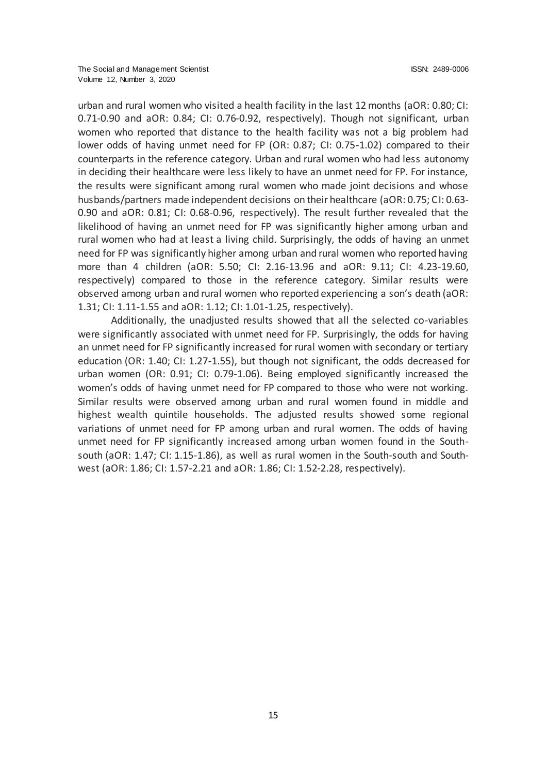urban and rural women who visited a health facility in the last 12 months (aOR: 0.80; CI: 0.71-0.90 and aOR: 0.84; CI: 0.76-0.92, respectively). Though not significant, urban women who reported that distance to the health facility was not a big problem had lower odds of having unmet need for FP (OR: 0.87; CI: 0.75-1.02) compared to their counterparts in the reference category. Urban and rural women who had less autonomy in deciding their healthcare were less likely to have an unmet need for FP. For instance, the results were significant among rural women who made joint decisions and whose husbands/partners made independent decisions on their healthcare (aOR: 0.75; CI: 0.63- 0.90 and aOR: 0.81; CI: 0.68-0.96, respectively). The result further revealed that the likelihood of having an unmet need for FP was significantly higher among urban and rural women who had at least a living child. Surprisingly, the odds of having an unmet need for FP was significantly higher among urban and rural women who reported having more than 4 children (aOR: 5.50; CI: 2.16-13.96 and aOR: 9.11; CI: 4.23-19.60, respectively) compared to those in the reference category. Similar results were observed among urban and rural women who reported experiencing a son's death (aOR: 1.31; CI: 1.11-1.55 and aOR: 1.12; CI: 1.01-1.25, respectively).

Additionally, the unadjusted results showed that all the selected co-variables were significantly associated with unmet need for FP. Surprisingly, the odds for having an unmet need for FP significantly increased for rural women with secondary or tertiary education (OR: 1.40; CI: 1.27-1.55), but though not significant, the odds decreased for urban women (OR: 0.91; CI: 0.79-1.06). Being employed significantly increased the women's odds of having unmet need for FP compared to those who were not working. Similar results were observed among urban and rural women found in middle and highest wealth quintile households. The adjusted results showed some regional variations of unmet need for FP among urban and rural women. The odds of having unmet need for FP significantly increased among urban women found in the Southsouth (aOR: 1.47; CI: 1.15-1.86), as well as rural women in the South-south and Southwest (aOR: 1.86; CI: 1.57-2.21 and aOR: 1.86; CI: 1.52-2.28, respectively).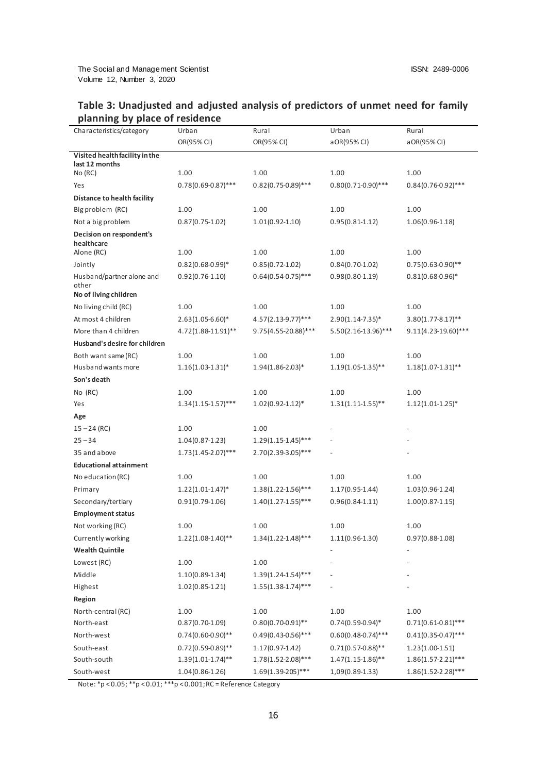| Characteristics/category               | Urban                   | Rural                    | Urban                   | Rural                   |
|----------------------------------------|-------------------------|--------------------------|-------------------------|-------------------------|
|                                        | OR(95% CI)              | OR(95% CI)               | a OR(95% CI)            | a OR(95% CI)            |
| Visited health facility in the         |                         |                          |                         |                         |
| last 12 months                         | 1.00                    | 1.00                     | 1.00                    | 1.00                    |
| No (RC)                                | $0.78(0.69 - 0.87)$ *** | $0.82(0.75-0.89)$ ***    | $0.80(0.71 - 0.90)$ *** |                         |
| Yes                                    |                         |                          |                         | $0.84(0.76-0.92)$ ***   |
| Distance to health facility            |                         |                          |                         |                         |
| Big problem (RC)                       | 1.00                    | 1.00                     | 1.00                    | 1.00                    |
| Not a big problem                      | $0.87(0.75 - 1.02)$     | $1.01(0.92 - 1.10)$      | $0.95(0.81 - 1.12)$     | $1.06(0.96-1.18)$       |
| Decision on respondent's<br>healthcare |                         |                          |                         |                         |
| Alone (RC)                             | 1.00                    | 1.00                     | 1.00                    | 1.00                    |
| Jointly                                | $0.82(0.68-0.99)$ *     | $0.85(0.72 - 1.02)$      | $0.84(0.70-1.02)$       | $0.75(0.63-0.90)$ **    |
| Husband/partner alone and              | $0.92(0.76 - 1.10)$     | $0.64(0.54-0.75)$ ***    | $0.98(0.80 - 1.19)$     | $0.81(0.68 - 0.96)^*$   |
| other                                  |                         |                          |                         |                         |
| No of living children                  |                         |                          |                         |                         |
| No living child (RC)                   | 1.00                    | 1.00                     | 1.00                    | 1.00                    |
| At most 4 children                     | $2.63(1.05 - 6.60)^*$   | 4.57(2.13-9.77)***       | $2.90(1.14 - 7.35)^*$   | $3.80(1.77 - 8.17)$ **  |
| More than 4 children                   | 4.72(1.88-11.91)**      | $9.75(4.55 - 20.88)$ *** | 5.50(2.16-13.96)***     | $9.11(4.23-19.60)$ ***  |
| Husband's desire for children          |                         |                          |                         |                         |
| Both want same (RC)                    | 1.00                    | 1.00                     | 1.00                    | 1.00                    |
| Husband wants more                     | $1.16(1.03-1.31)^*$     | $1.94(1.86 - 2.03)^*$    | $1.19(1.05-1.35)$ **    | $1.18(1.07-1.31)$ **    |
| Son's death                            |                         |                          |                         |                         |
| No (RC)                                | 1.00                    | 1.00                     | 1.00                    | 1.00                    |
| Yes                                    | $1.34(1.15-1.57)$ ***   | $1.02(0.92 - 1.12)*$     | $1.31(1.11-1.55)$ **    | $1.12(1.01-1.25)$ *     |
| Age                                    |                         |                          |                         |                         |
| $15 - 24$ (RC)                         | 1.00                    | 1.00                     |                         |                         |
| $25 - 34$                              | $1.04(0.87 - 1.23)$     | $1.29(1.15-1.45)$ ***    |                         |                         |
| 35 and above                           | $1.73(1.45-2.07)$ ***   | 2.70(2.39-3.05)***       |                         |                         |
| <b>Educational attainment</b>          |                         |                          |                         |                         |
| No education (RC)                      | 1.00                    | 1.00                     | 1.00                    | 1.00                    |
| Primary                                | $1.22(1.01-1.47)^*$     | $1.38(1.22 - 1.56)$ ***  | $1.17(0.95 - 1.44)$     | $1.03(0.96 - 1.24)$     |
| Secondary/tertiary                     | $0.91(0.79-1.06)$       | $1.40(1.27 - 1.55)$ ***  | $0.96(0.84 - 1.11)$     | $1.00(0.87 - 1.15)$     |
| <b>Employment status</b>               |                         |                          |                         |                         |
| Not working (RC)                       | 1.00                    | 1.00                     | 1.00                    | 1.00                    |
| Currently working                      | $1.22(1.08-1.40)$ **    | $1.34(1.22 - 1.48)$ ***  | $1.11(0.96-1.30)$       | $0.97(0.88 - 1.08)$     |
| <b>Wealth Quintile</b>                 |                         |                          |                         |                         |
| Lowest (RC)                            | 1.00                    | 1.00                     |                         |                         |
| Middle                                 | $1.10(0.89 - 1.34)$     | $1.39(1.24 - 1.54)$ ***  |                         |                         |
| Highest                                | $1.02(0.85 - 1.21)$     | $1.55(1.38 - 1.74)$ ***  |                         |                         |
| Region                                 |                         |                          |                         |                         |
| North-central (RC)                     | 1.00                    | 1.00                     | 1.00                    | 1.00                    |
| North-east                             | $0.87(0.70-1.09)$       | $0.80(0.70-0.91)$ **     | $0.74(0.59-0.94)$ *     | $0.71(0.61-0.81)$ ***   |
| North-west                             | $0.74(0.60-0.90)$ **    | $0.49(0.43 - 0.56)$ ***  | $0.60(0.48 - 0.74)$ *** | $0.41(0.35 - 0.47)$ *** |
| South-east                             | $0.72(0.59 - 0.89)$ **  | $1.17(0.97 - 1.42)$      | $0.71(0.57 - 0.88)$ **  | $1.23(1.00-1.51)$       |
| South-south                            | $1.39(1.01 - 1.74)$ **  | $1.78(1.52 - 2.08)$ ***  | $1.47(1.15-1.86)$ **    | $1.86(1.57-2.21)$ ***   |
| South-west                             | $1.04(0.86 - 1.26)$     | $1.69(1.39-205)$ ***     | 1,09(0.89-1.33)         | $1.86(1.52 - 2.28)$ *** |

# **Table 3: Unadjusted and adjusted analysis of predictors of unmet need for family planning by place of residence**

Note: \*p < 0.05; \*\*p < 0.01; \*\*\*p < 0.001; RC = Reference Category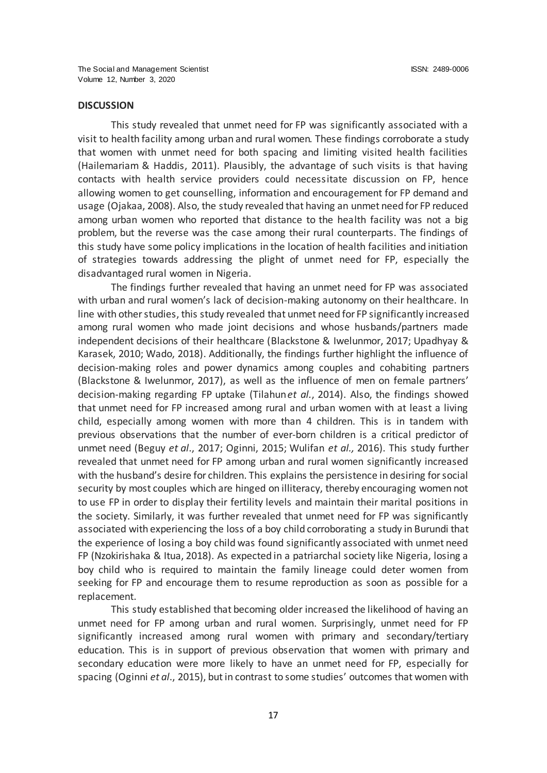#### **DISCUSSION**

This study revealed that unmet need for FP was significantly associated with a visit to health facility among urban and rural women. These findings corroborate a study that women with unmet need for both spacing and limiting visited health facilities (Hailemariam & Haddis, 2011). Plausibly, the advantage of such visits is that having contacts with health service providers could necessitate discussion on FP, hence allowing women to get counselling, information and encouragement for FP demand and usage (Ojakaa, 2008). Also, the study revealed that having an unmet need for FP reduced among urban women who reported that distance to the health facility was not a big problem, but the reverse was the case among their rural counterparts. The findings of this study have some policy implications in the location of health facilities and initiation of strategies towards addressing the plight of unmet need for FP, especially the disadvantaged rural women in Nigeria.

The findings further revealed that having an unmet need for FP was associated with urban and rural women's lack of decision-making autonomy on their healthcare. In line with other studies, this study revealed that unmet need for FP significantly increased among rural women who made joint decisions and whose husbands/partners made independent decisions of their healthcare (Blackstone & Iwelunmor, 2017; Upadhyay & Karasek, 2010; Wado, 2018). Additionally, the findings further highlight the influence of decision-making roles and power dynamics among couples and cohabiting partners (Blackstone & Iwelunmor, 2017), as well as the influence of men on female partners' decision-making regarding FP uptake (Tilahun*et al.*, 2014). Also, the findings showed that unmet need for FP increased among rural and urban women with at least a living child, especially among women with more than 4 children. This is in tandem with previous observations that the number of ever-born children is a critical predictor of unmet need (Beguy *et al*., 2017; Oginni, 2015; Wulifan *et al.,* 2016). This study further revealed that unmet need for FP among urban and rural women significantly increased with the husband's desire for children. This explains the persistence in desiring for social security by most couples which are hinged on illiteracy, thereby encouraging women not to use FP in order to display their fertility levels and maintain their marital positions in the society. Similarly, it was further revealed that unmet need for FP was significantly associated with experiencing the loss of a boy child corroborating a study in Burundi that the experience of losing a boy child was found significantly associated with unmet need FP (Nzokirishaka & Itua, 2018). As expected in a patriarchal society like Nigeria, losing a boy child who is required to maintain the family lineage could deter women from seeking for FP and encourage them to resume reproduction as soon as possible for a replacement.

This study established that becoming older increased the likelihood of having an unmet need for FP among urban and rural women. Surprisingly, unmet need for FP significantly increased among rural women with primary and secondary/tertiary education. This is in support of previous observation that women with primary and secondary education were more likely to have an unmet need for FP, especially for spacing (Oginni *et al*., 2015), but in contrast to some studies' outcomes that women with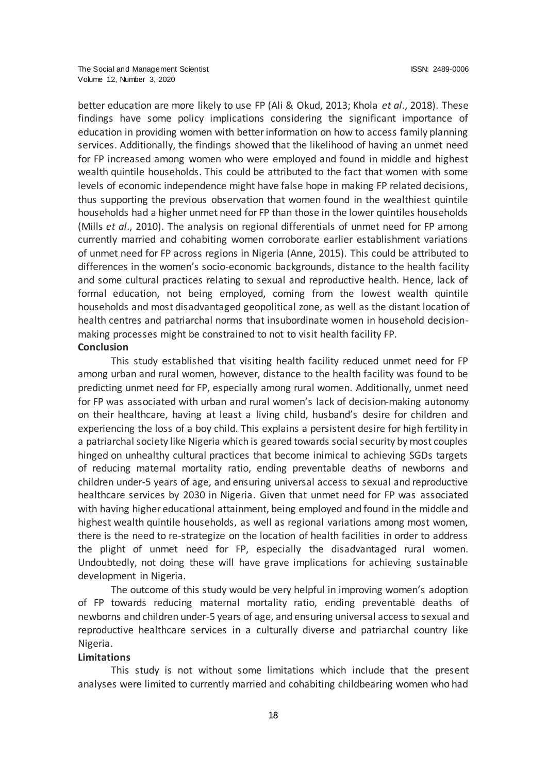better education are more likely to use FP (Ali & Okud, 2013; Khola *et al*., 2018). These findings have some policy implications considering the significant importance of education in providing women with better information on how to access family planning services. Additionally, the findings showed that the likelihood of having an unmet need for FP increased among women who were employed and found in middle and highest wealth quintile households. This could be attributed to the fact that women with some levels of economic independence might have false hope in making FP related decisions, thus supporting the previous observation that women found in the wealthiest quintile households had a higher unmet need for FP than those in the lower quintiles households (Mills *et al*., 2010). The analysis on regional differentials of unmet need for FP among currently married and cohabiting women corroborate earlier establishment variations of unmet need for FP across regions in Nigeria (Anne, 2015). This could be attributed to differences in the women's socio-economic backgrounds, distance to the health facility and some cultural practices relating to sexual and reproductive health. Hence, lack of formal education, not being employed, coming from the lowest wealth quintile households and most disadvantaged geopolitical zone, as well as the distant location of health centres and patriarchal norms that insubordinate women in household decisionmaking processes might be constrained to not to visit health facility FP.

### **Conclusion**

This study established that visiting health facility reduced unmet need for FP among urban and rural women, however, distance to the health facility was found to be predicting unmet need for FP, especially among rural women. Additionally, unmet need for FP was associated with urban and rural women's lack of decision-making autonomy on their healthcare, having at least a living child, husband's desire for children and experiencing the loss of a boy child. This explains a persistent desire for high fertility in a patriarchal society like Nigeria which is geared towards social security by most couples hinged on unhealthy cultural practices that become inimical to achieving SGDs targets of reducing maternal mortality ratio, ending preventable deaths of newborns and children under-5 years of age, and ensuring universal access to sexual and reproductive healthcare services by 2030 in Nigeria. Given that unmet need for FP was associated with having higher educational attainment, being employed and found in the middle and highest wealth quintile households, as well as regional variations among most women, there is the need to re-strategize on the location of health facilities in order to address the plight of unmet need for FP, especially the disadvantaged rural women. Undoubtedly, not doing these will have grave implications for achieving sustainable development in Nigeria.

The outcome of this study would be very helpful in improving women's adoption of FP towards reducing maternal mortality ratio, ending preventable deaths of newborns and children under-5 years of age, and ensuring universal access to sexual and reproductive healthcare services in a culturally diverse and patriarchal country like Nigeria.

# **Limitations**

This study is not without some limitations which include that the present analyses were limited to currently married and cohabiting childbearing women who had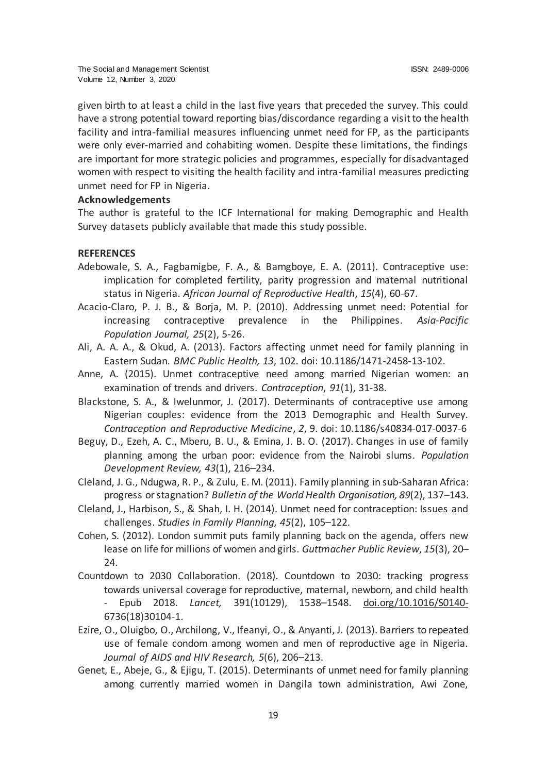given birth to at least a child in the last five years that preceded the survey. This could have a strong potential toward reporting bias/discordance regarding a visit to the health facility and intra-familial measures influencing unmet need for FP, as the participants were only ever-married and cohabiting women. Despite these limitations, the findings are important for more strategic policies and programmes, especially for disadvantaged women with respect to visiting the health facility and intra-familial measures predicting unmet need for FP in Nigeria.

# **Acknowledgements**

The author is grateful to the ICF International for making Demographic and Health Survey datasets publicly available that made this study possible.

# **REFERENCES**

- Adebowale, S. A., Fagbamigbe, F. A., & Bamgboye, E. A. (2011). Contraceptive use: implication for completed fertility, parity progression and maternal nutritional status in Nigeria. *African Journal of Reproductive Health*, *15*(4), 60-67.
- Acacio-Claro, P. J. B., & Borja, M. P. (2010). Addressing unmet need: Potential for increasing contraceptive prevalence in the Philippines. *Asia*-*Pacific Population Journal, 25*(2), 5-26.
- Ali, A. A. A., & Okud, A. (2013). Factors affecting unmet need for family planning in Eastern Sudan. *BMC Public Health, 13*, 102. doi: 10.1186/1471-2458-13-102.
- Anne, A. (2015). Unmet contraceptive need among married Nigerian women: an examination of trends and drivers. *Contraception*, *91*(1), 31-38.
- Blackstone, S. A., & Iwelunmor, J. (2017). Determinants of contraceptive use among Nigerian couples: evidence from the 2013 Demographic and Health Survey. *Contraception and Reproductive Medicine*, *2*, 9. doi: 10.1186/s40834-017-0037-6
- Beguy, D., Ezeh, A. C., Mberu, B. U., & Emina, J. B. O. (2017). Changes in use of family planning among the urban poor: evidence from the Nairobi slums. *Population Development Review, 43*(1), 216–234.
- Cleland, J. G., Ndugwa, R. P., & Zulu, E. M. (2011). Family planning in sub-Saharan Africa: progress or stagnation? *Bulletin of the World Health Organisation, 89*(2), 137–143.
- Cleland, J., Harbison, S., & Shah, I. H. (2014). Unmet need for contraception: Issues and challenges. *Studies in Family Planning, 45*(2), 105–122.
- Cohen, S. (2012). London summit puts family planning back on the agenda, offers new lease on life for millions of women and girls. *Guttmacher Public Review*, *15*(3), 20– 24.
- Countdown to 2030 Collaboration. (2018). Countdown to 2030: tracking progress towards universal coverage for reproductive, maternal, newborn, and child health - Epub 2018. *Lancet,* 391(10129), 1538–1548. [doi.org/10.1016/S0140-](https://doi.org/10.1016/S0140-) 6736(18)30104-1.
- Ezire, O., Oluigbo, O., Archilong, V., Ifeanyi, O., & Anyanti, J. (2013). Barriers to repeated use of female condom among women and men of reproductive age in Nigeria. *Journal of AIDS and HIV Research, 5*(6), 206–213.
- Genet, E., Abeje, G., & Ejigu, T. (2015). Determinants of unmet need for family planning among currently married women in Dangila town administration, Awi Zone,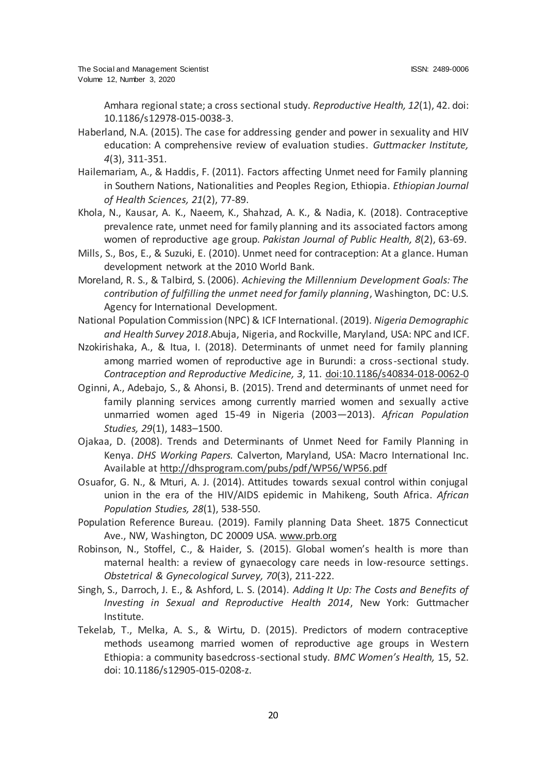Amhara regional state; a cross sectional study. *Reproductive Health, 12*(1), 42. doi: 10.1186/s12978-015-0038-3.

- Haberland, N.A. (2015). The case for addressing gender and power in sexuality and HIV education: A comprehensive review of evaluation studies. *Guttmacker Institute, 4*(3), 311-351.
- Hailemariam, A., & Haddis, F. (2011). Factors affecting Unmet need for Family planning in Southern Nations, Nationalities and Peoples Region, Ethiopia. *Ethiopian Journal of Health Sciences, 21*(2), 77-89.
- Khola, N., Kausar, A. K., Naeem, K., Shahzad, A. K., & Nadia, K. (2018). Contraceptive prevalence rate, unmet need for family planning and its associated factors among women of reproductive age group. *Pakistan Journal of Public Health, 8*(2), 63-69.
- Mills, S., Bos, E., & Suzuki, E. (2010). Unmet need for contraception: At a glance. Human development network at the 2010 World Bank.
- Moreland, R. S., & Talbird, S. (2006). *Achieving the Millennium Development Goals: The contribution of fulfilling the unmet need for family planning*, Washington, DC: U.S. Agency for International Development.
- National Population Commission (NPC) & ICF International. (2019). *Nigeria Demographic and Health Survey 2018*.Abuja, Nigeria, and Rockville, Maryland, USA: NPC and ICF.
- Nzokirishaka, A., & Itua, I. (2018). Determinants of unmet need for family planning among married women of reproductive age in Burundi: a cross-sectional study. *Contraception and Reproductive Medicine, 3*, 11[. doi:10.1186/s40834-018-0062-0](https://doi.org/10.1186/s40834-018-0062-0)
- Oginni, A., Adebajo, S., & Ahonsi, B. (2015). Trend and determinants of unmet need for family planning services among currently married women and sexually active unmarried women aged 15-49 in Nigeria (2003—2013). *African Population Studies, 29*(1), 1483–1500.
- Ojakaa, D. (2008). Trends and Determinants of Unmet Need for Family Planning in Kenya. *DHS Working Papers.* Calverton, Maryland, USA: Macro International Inc. Available a[t http://dhsprogram.com/pubs/pdf/WP56/WP56.pdf](http://dhsprogram.com/pubs/pdf/WP56/WP56.pdf)
- Osuafor, G. N., & Mturi, A. J. (2014). Attitudes towards sexual control within conjugal union in the era of the HIV/AIDS epidemic in Mahikeng, South Africa. *African Population Studies, 28*(1), 538-550.
- Population Reference Bureau. (2019). Family planning Data Sheet. 1875 Connecticut Ave., NW, Washington, DC 20009 USA. [www.prb.org](http://www.prb.org/)
- Robinson, N., Stoffel, C., & Haider, S. (2015). Global women's health is more than maternal health: a review of gynaecology care needs in low-resource settings. *Obstetrical & Gynecological Survey, 70*(3), 211-222.
- Singh, S., Darroch, J. E., & Ashford, L. S. (2014). *Adding It Up: The Costs and Benefits of Investing in Sexual and Reproductive Health 2014*, New York: Guttmacher Institute.
- Tekelab, T., Melka, A. S., & Wirtu, D. (2015). Predictors of modern contraceptive methods useamong married women of reproductive age groups in Western Ethiopia: a community basedcross-sectional study. *BMC Women's Health,* 15, 52. doi: 10.1186/s12905-015-0208-z.